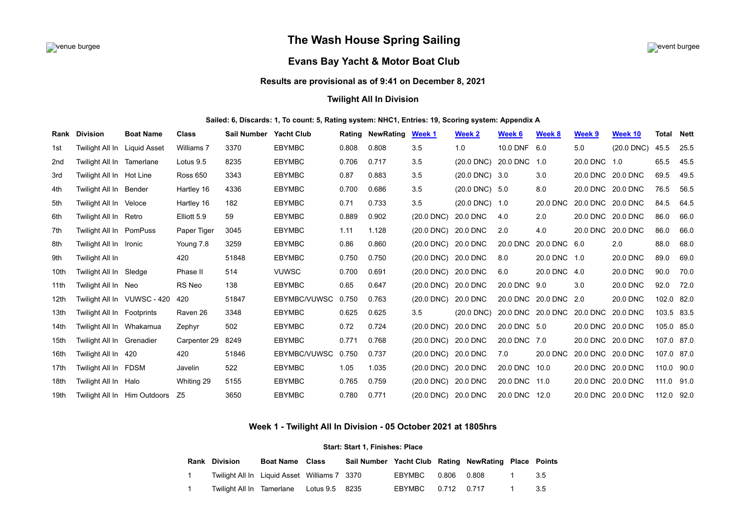

# venue burgee event burgee **The Wash House Spring Sailing**



# **Evans Bay Yacht & Motor Boat Club**

## **Results are provisional as of 9:41 on December 8, 2021**

## **Twilight All In Division**

### **Sailed: 6, Discards: 1, To count: 5, Rating system: NHC1, Entries: 19, Scoring system: Appendix A**

| Rank             | <b>Division</b>              | <b>Boat Name</b>             | <b>Class</b>    | <b>Sail Number</b> | <b>Yacht Club</b> |       | <b>Rating NewRating</b> | Week 1              | Week 2                   | Week 6            | Week 8       | Week 9            | Week 10      | Total      | <b>Nett</b> |
|------------------|------------------------------|------------------------------|-----------------|--------------------|-------------------|-------|-------------------------|---------------------|--------------------------|-------------------|--------------|-------------------|--------------|------------|-------------|
| 1st              | Twilight All In Liquid Asset |                              | Williams 7      | 3370               | <b>EBYMBC</b>     | 0.808 | 0.808                   | 3.5                 | 1.0                      | 10.0 DNF          | 6.0          | 5.0               | $(20.0$ DNC) | 45.5       | 25.5        |
| 2 <sub>nd</sub>  | Twilight All In Tamerlane    |                              | Lotus 9.5       | 8235               | <b>EBYMBC</b>     | 0.706 | 0.717                   | 3.5                 | $(20.0$ DNC)             | 20.0 DNC 1.0      |              | 20.0 DNC 1.0      |              | 65.5       | 45.5        |
| 3rd              | Twilight All In Hot Line     |                              | <b>Ross 650</b> | 3343               | <b>EBYMBC</b>     | 0.87  | 0.883                   | 3.5                 | $(20.0$ DNC $)$          | 3.0               | 3.0          | 20.0 DNC 20.0 DNC |              | 69.5       | 49.5        |
| 4th              | Twilight All In Bender       |                              | Hartley 16      | 4336               | <b>EBYMBC</b>     | 0.700 | 0.686                   | 3.5                 | $(20.0 \, \text{DNC})$   | - 5.0             | 8.0          | 20.0 DNC 20.0 DNC |              | 76.5       | 56.5        |
| 5th              | Twilight All In Veloce       |                              | Hartley 16      | 182                | <b>EBYMBC</b>     | 0.71  | 0.733                   | 3.5                 | $(20.0 \text{ DNC})$ 1.0 |                   | 20.0 DNC     | 20.0 DNC 20.0 DNC |              | 84.5       | 64.5        |
| 6th              | Twilight All In Retro        |                              | Elliott 5.9     | 59                 | <b>EBYMBC</b>     | 0.889 | 0.902                   | $(20.0$ DNC)        | 20.0 DNC                 | 4.0               | 2.0          | 20.0 DNC 20.0 DNC |              | 86.0       | 66.0        |
| 7th              | Twilight All In PomPuss      |                              | Paper Tiger     | 3045               | <b>EBYMBC</b>     | 1.11  | 1.128                   | $(20.0$ DNC)        | 20.0 DNC                 | 2.0               | 4.0          | 20.0 DNC 20.0 DNC |              | 86.0       | 66.0        |
| 8th              | Twilight All In Ironic       |                              | Young 7.8       | 3259               | <b>EBYMBC</b>     | 0.86  | 0.860                   | $(20.0$ DNC)        | 20.0 DNC                 | 20.0 DNC          | 20.0 DNC 6.0 |                   | 2.0          | 88.0       | 68.0        |
| 9th              | Twilight All In              |                              | 420             | 51848              | <b>EBYMBC</b>     | 0.750 | 0.750                   | $(20.0$ DNC)        | 20.0 DNC                 | 8.0               | 20.0 DNC 1.0 |                   | 20.0 DNC     | 89.0       | 69.0        |
| 10th             | Twilight All In Sledge       |                              | Phase II        | 514                | <b>VUWSC</b>      | 0.700 | 0.691                   | $(20.0$ DNC $)$     | 20.0 DNC                 | 6.0               | 20.0 DNC 4.0 |                   | 20.0 DNC     | 90.0       | 70.0        |
| 11th             | Twilight All In Neo          |                              | RS Neo          | 138                | <b>EBYMBC</b>     | 0.65  | 0.647                   | $(20.0$ DNC)        | 20.0 DNC                 | 20.0 DNC 9.0      |              | 3.0               | 20.0 DNC     | 92.0       | 72.0        |
| 12 <sub>th</sub> |                              | Twilight All In VUWSC - 420  | 420             | 51847              | EBYMBC/VUWSC      | 0.750 | 0.763                   | $(20.0$ DNC)        | 20.0 DNC                 | 20.0 DNC          | 20.0 DNC 2.0 |                   | 20.0 DNC     | 102.0 82.0 |             |
| 13th             | Twilight All In Footprints   |                              | Raven 26        | 3348               | <b>EBYMBC</b>     | 0.625 | 0.625                   | 3.5                 | $(20.0$ DNC)             | 20.0 DNC 20.0 DNC |              | 20.0 DNC 20.0 DNC |              | 103.5 83.5 |             |
| 14th             | Twilight All In Whakamua     |                              | Zephyr          | 502                | <b>EBYMBC</b>     | 0.72  | 0.724                   | $(20.0$ DNC)        | 20.0 DNC                 | 20.0 DNC 5.0      |              | 20.0 DNC 20.0 DNC |              | 105.0 85.0 |             |
| 15th             | Twilight All In Grenadier    |                              | Carpenter 29    | 8249               | <b>EBYMBC</b>     | 0.771 | 0.768                   | $(20.0$ DNC)        | 20.0 DNC                 | 20.0 DNC 7.0      |              | 20.0 DNC 20.0 DNC |              | 107.0 87.0 |             |
| 16th             | Twilight All In 420          |                              | 420             | 51846              | EBYMBC/VUWSC      | 0.750 | 0.737                   | $(20.0$ DNC)        | 20.0 DNC                 | 7.0               | 20.0 DNC     | 20.0 DNC 20.0 DNC |              | 107.0 87.0 |             |
| 17th             | Twilight All In FDSM         |                              | Javelin         | 522                | <b>EBYMBC</b>     | 1.05  | 1.035                   | $(20.0$ DNC)        | 20.0 DNC                 | 20.0 DNC          | 10.0         | 20.0 DNC 20.0 DNC |              | 110.0 90.0 |             |
| 18th             | Twilight All In Halo         |                              | Whiting 29      | 5155               | <b>EBYMBC</b>     | 0.765 | 0.759                   | $(20.0$ DNC)        | 20.0 DNC                 | 20.0 DNC          | 11.0         | 20.0 DNC 20.0 DNC |              | 111.0 91.0 |             |
| 19th             |                              | Twilight All In Him Outdoors | Z <sub>5</sub>  | 3650               | <b>EBYMBC</b>     | 0.780 | 0.771                   | (20.0 DNC) 20.0 DNC |                          | 20.0 DNC          | 12.0         | 20.0 DNC 20.0 DNC |              | 112.0 92.0 |             |

## **Week 1 - Twilight All In Division - 05 October 2021 at 1805hrs**

#### **Start: Start 1, Finishes: Place**

<span id="page-0-0"></span>

|  | <b>Rank Division</b>                         | <b>Boat Name</b> Class | Sail Number Yacht Club Rating NewRating Place Points |                        |  |      |
|--|----------------------------------------------|------------------------|------------------------------------------------------|------------------------|--|------|
|  | Twilight All In Liquid Asset Williams 7 3370 |                        |                                                      | EBYMBC   0.806   0.808 |  | -3.5 |
|  | Twilight All In Tamerlane Lotus 9.5 8235     |                        |                                                      | EBYMBC   0.712   0.717 |  | 3.5  |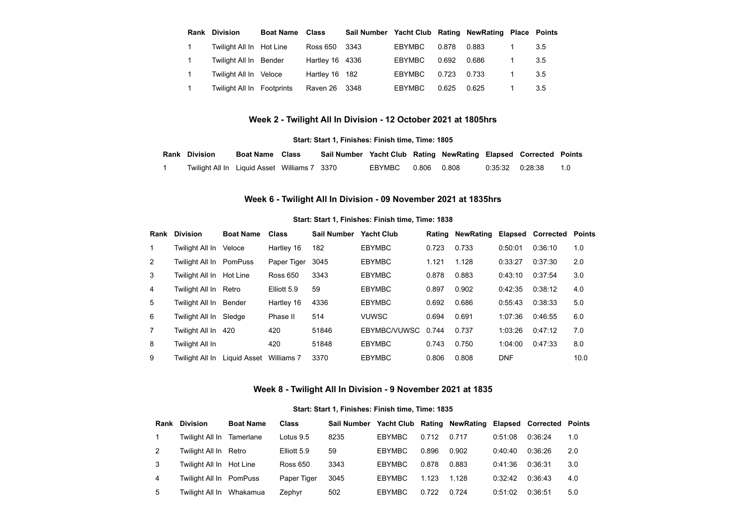| Rank           | <b>Division</b>            | <b>Boat Name</b> | Class           | Sail Number Yacht Club Rating NewRating Place Points |               |       |       |     |
|----------------|----------------------------|------------------|-----------------|------------------------------------------------------|---------------|-------|-------|-----|
|                | Twilight All In Hot Line   |                  | <b>Ross 650</b> | 3343                                                 | EBYMBC        | 0.878 | 0.883 | 3.5 |
| $\overline{1}$ | Twilight All In Bender     |                  | Hartley 16 4336 |                                                      | <b>EBYMBC</b> | 0.692 | 0.686 | 3.5 |
|                | Twilight All In Veloce     |                  | Hartley 16 182  |                                                      | <b>EBYMBC</b> | 0.723 | 0.733 | 3.5 |
|                | Twilight All In Footprints |                  | Raven 26        | -3348                                                | <b>EBYMBC</b> | 0.625 | 0.625 | 3.5 |

# **Week 2 - Twilight All In Division - 12 October 2021 at 1805hrs**

#### **Start: Start 1, Finishes: Finish time, Time: 1805**

<span id="page-1-0"></span>

| <b>Rank Division</b>                         | <b>Boat Name</b> Class | Sail Number Yacht Club Rating NewRating Elapsed Corrected Points |                    |  |                         |  |
|----------------------------------------------|------------------------|------------------------------------------------------------------|--------------------|--|-------------------------|--|
| Twilight All In Liguid Asset Williams 7 3370 |                        |                                                                  | EBYMBC 0.806 0.808 |  | $0.35:32$ $0.28:38$ 1.0 |  |

# **Week 6 - Twilight All In Division - 09 November 2021 at 1835hrs**

#### **Start: Start 1, Finishes: Finish time, Time: 1838**

<span id="page-1-1"></span>

| Rank | <b>Division</b>          | <b>Boat Name</b> | <b>Class</b>    | Sail Number | <b>Yacht Club</b> | Rating | <b>NewRating</b> | Elapsed    | <b>Corrected</b> | <b>Points</b> |
|------|--------------------------|------------------|-----------------|-------------|-------------------|--------|------------------|------------|------------------|---------------|
|      | Twiliaht All In          | Veloce           | Hartley 16      | 182         | <b>EBYMBC</b>     | 0.723  | 0.733            | 0:50:01    | 0:36:10          | 1.0           |
| 2    | Twilight All In PomPuss  |                  | Paper Tiger     | 3045        | <b>EBYMBC</b>     | 1.121  | 1.128            | 0:33:27    | 0:37:30          | 2.0           |
| 3    | Twilight All In Hot Line |                  | <b>Ross 650</b> | 3343        | <b>EBYMBC</b>     | 0.878  | 0.883            | 0:43:10    | 0:37:54          | 3.0           |
| 4    | Twilight All In Retro    |                  | Elliott 5.9     | 59          | <b>EBYMBC</b>     | 0.897  | 0.902            | 0:42:35    | 0:38:12          | 4.0           |
| 5    | Twiliaht All In          | Bender           | Hartley 16      | 4336        | <b>EBYMBC</b>     | 0.692  | 0.686            | 0:55:43    | 0:38:33          | 5.0           |
| 6    | Twilight All In          | Sledae           | Phase II        | 514         | <b>VUWSC</b>      | 0.694  | 0.691            | 1:07:36    | 0:46:55          | 6.0           |
|      | Twiliaht All In          | 420              | 420             | 51846       | EBYMBC/VUWSC      | 0.744  | 0.737            | 1:03:26    | 0:47:12          | 7.0           |
| 8    | Twilight All In          |                  | 420             | 51848       | <b>EBYMBC</b>     | 0.743  | 0.750            | 1:04:00    | 0:47:33          | 8.0           |
| 9    | Twiliaht All In          | Liquid Asset     | Williams 7      | 3370        | <b>EBYMBC</b>     | 0.806  | 0.808            | <b>DNF</b> |                  | 10.0          |

# **Week 8 - Twilight All In Division - 9 November 2021 at 1835**

#### **Start: Start 1, Finishes: Finish time, Time: 1835**

<span id="page-1-2"></span>

| Rank | <b>Division</b>           | <b>Boat Name</b> | <b>Class</b>    | Sail Number |               |       | Yacht Club Rating NewRating Elapsed Corrected Points |         |         |     |
|------|---------------------------|------------------|-----------------|-------------|---------------|-------|------------------------------------------------------|---------|---------|-----|
|      | Twilight All In Tamerlane |                  | Lotus 9.5       | 8235        | <b>EBYMBC</b> | 0.712 | 0.717                                                | 0:51:08 | 0:36:24 | 1.0 |
|      | Twilight All In Retro     |                  | Elliott 5.9     | 59          | <b>EBYMBC</b> | 0.896 | 0.902                                                | 0:40:40 | 0:36:26 | 2.0 |
|      | Twilight All In Hot Line  |                  | <b>Ross 650</b> | 3343        | <b>EBYMBC</b> | 0.878 | 0.883                                                | 0:41:36 | 0:36:31 | 3.0 |
| 4    | Twilight All In PomPuss   |                  | Paper Tiger     | 3045        | <b>EBYMBC</b> | 1.123 | 1.128                                                | 0:32:42 | 0:36:43 | 4.0 |
| 5    | Twilight All In Whakamua  |                  | Zephyr          | 502         | <b>EBYMBC</b> | 0.722 | 0.724                                                | 0:51:02 | 0:36:51 | 5.0 |